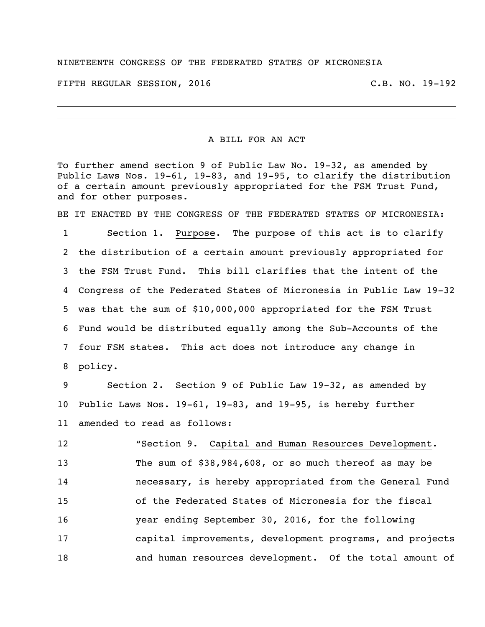## NINETEENTH CONGRESS OF THE FEDERATED STATES OF MICRONESIA

FIFTH REGULAR SESSION, 2016 C.B. NO. 19-192

## A BILL FOR AN ACT

To further amend section 9 of Public Law No. 19-32, as amended by Public Laws Nos. 19-61, 19-83, and 19-95, to clarify the distribution of a certain amount previously appropriated for the FSM Trust Fund, and for other purposes.

BE IT ENACTED BY THE CONGRESS OF THE FEDERATED STATES OF MICRONESIA:

 Section 1. Purpose. The purpose of this act is to clarify the distribution of a certain amount previously appropriated for the FSM Trust Fund. This bill clarifies that the intent of the Congress of the Federated States of Micronesia in Public Law 19-32 was that the sum of \$10,000,000 appropriated for the FSM Trust Fund would be distributed equally among the Sub-Accounts of the four FSM states. This act does not introduce any change in policy.

 Section 2. Section 9 of Public Law 19-32, as amended by Public Laws Nos. 19-61, 19-83, and 19-95, is hereby further amended to read as follows:

 "Section 9. Capital and Human Resources Development. The sum of \$38,984,608, or so much thereof as may be necessary, is hereby appropriated from the General Fund of the Federated States of Micronesia for the fiscal year ending September 30, 2016, for the following capital improvements, development programs, and projects 18 and human resources development. Of the total amount of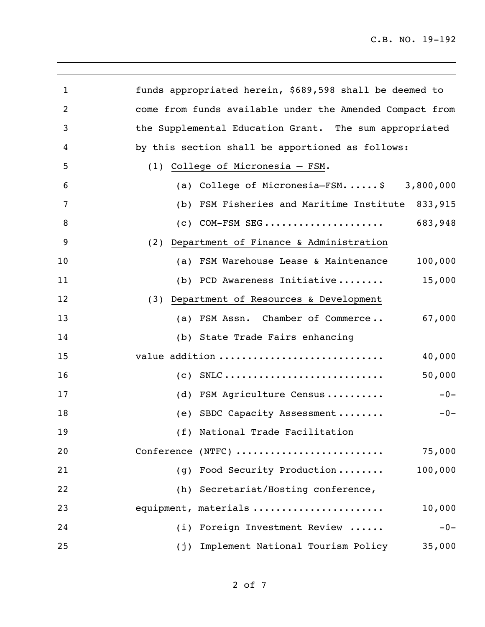| 1              | funds appropriated herein, \$689,598 shall be deemed to                                       |
|----------------|-----------------------------------------------------------------------------------------------|
| $\overline{2}$ | come from funds available under the Amended Compact from                                      |
| 3              | the Supplemental Education Grant. The sum appropriated                                        |
| 4              | by this section shall be apportioned as follows:                                              |
| 5              | (1) College of Micronesia - FSM.                                                              |
| 6              | (a) College of Micronesia-FSM\$ 3,800,000                                                     |
| 7              | FSM Fisheries and Maritime Institute<br>833,915<br>(b)                                        |
| 8              | 683,948<br>COM-FSM SEG<br>(C)                                                                 |
| 9              | (2) Department of Finance & Administration                                                    |
| 10             | 100,000<br>FSM Warehouse Lease & Maintenance<br>(a)                                           |
| 11             | 15,000<br>(b) PCD Awareness Initiative                                                        |
| 12             | (3) Department of Resources & Development                                                     |
| 13             | (a) FSM Assn. Chamber of Commerce<br>67,000                                                   |
| 14             | (b) State Trade Fairs enhancing                                                               |
| 15             | value addition<br>40,000                                                                      |
| 16             | $\text{SNLC} \ldots \ldots \ldots \ldots \ldots \ldots \ldots \ldots \ldots$<br>50,000<br>(C) |
| 17             | FSM Agriculture Census<br>(d)<br>$-0-$                                                        |
| 18             | (e) SBDC Capacity Assessment<br>$-0-$                                                         |
| 19             | (f) National Trade Facilitation                                                               |
| 20             | 75,000<br>Conference (NTFC)                                                                   |
| 21             | Food Security Production<br>100,000<br>(q)                                                    |
| 22             | (h) Secretariat/Hosting conference,                                                           |
| 23             | equipment, materials<br>10,000                                                                |
| 24             | (i) Foreign Investment Review<br>$-0-$                                                        |
| 25             | Implement National Tourism Policy<br>35,000<br>(j)                                            |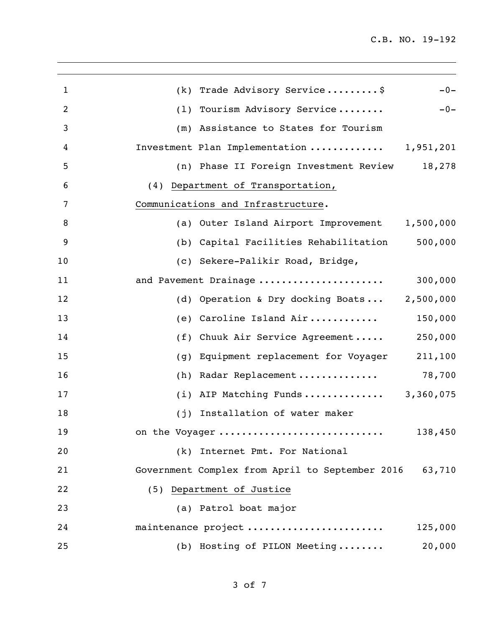| 1  | (k) Trade Advisory Service\$<br>$-0-$                     |
|----|-----------------------------------------------------------|
| 2  | (1) Tourism Advisory Service<br>$-0-$                     |
| 3  | (m) Assistance to States for Tourism                      |
| 4  | Investment Plan Implementation  1,951,201                 |
| 5  | (n) Phase II Foreign Investment Review<br>18,278          |
| 6  | (4) Department of Transportation,                         |
| 7  | Communications and Infrastructure.                        |
| 8  | (a) Outer Island Airport Improvement 1,500,000            |
| 9  | 500,000<br>(b) Capital Facilities Rehabilitation          |
| 10 | (c) Sekere-Palikir Road, Bridge,                          |
| 11 | 300,000<br>and Pavement Drainage                          |
| 12 | 2,500,000<br>(d) Operation & Dry docking Boats            |
| 13 | 150,000<br>(e) Caroline Island Air                        |
| 14 | 250,000<br>(f) Chuuk Air Service Agreement                |
| 15 | 211,100<br>Equipment replacement for Voyager<br>(g)       |
| 16 | 78,700<br>(h) Radar Replacement                           |
| 17 | (i) AIP Matching Funds<br>3,360,075                       |
| 18 | (j) Installation of water maker                           |
| 19 | 138,450<br>on the Voyager                                 |
| 20 | (k) Internet Pmt. For National                            |
| 21 | Government Complex from April to September 2016<br>63,710 |
| 22 | (5) Department of Justice                                 |
| 23 | (a) Patrol boat major                                     |
| 24 | maintenance project<br>125,000                            |
| 25 | (b) Hosting of PILON Meeting<br>20,000                    |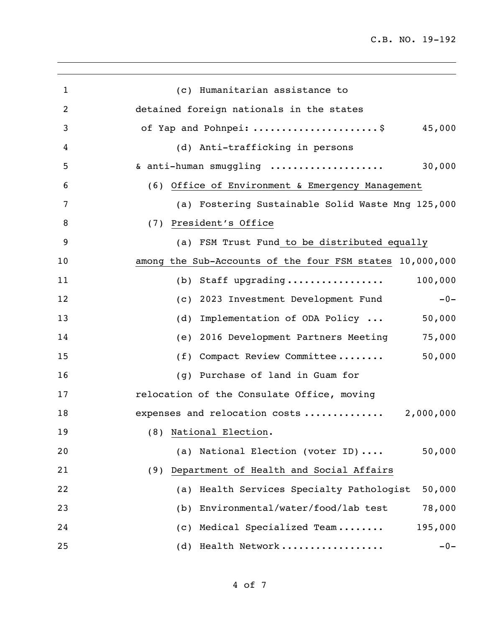| (c) Humanitarian assistance to                                  |
|-----------------------------------------------------------------|
| detained foreign nationals in the states                        |
| of Yap and Pohnpei: $\ldots \ldots \ldots \ldots \ldots \ldots$ |
| (d) Anti-trafficking in persons                                 |
| 30,000<br>& anti-human smuggling                                |
| (6) Office of Environment & Emergency Management                |
| (a) Fostering Sustainable Solid Waste Mng 125,000               |
| (7) President's Office                                          |
| (a) FSM Trust Fund to be distributed equally                    |
| among the Sub-Accounts of the four FSM states 10,000,000        |
| 100,000<br>(b) Staff upgrading                                  |
| (c) 2023 Investment Development Fund<br>$-0-$                   |
| Implementation of ODA Policy<br>(d)<br>50,000                   |
| 75,000<br>2016 Development Partners Meeting<br>(e)              |
| (f) Compact Review Committee<br>50,000                          |
| Purchase of land in Guam for<br>(q)                             |
| relocation of the Consulate Office, moving                      |
| 2,000,000<br>expenses and relocation costs                      |
| (8) National Election.                                          |
| (a) National Election (voter ID)<br>50,000                      |
| Department of Health and Social Affairs<br>(9)                  |
| Health Services Specialty Pathologist<br>50,000<br>(a)          |
| Environmental/water/food/lab test<br>78,000<br>(b)              |
| Medical Specialized Team<br>195,000<br>(C)                      |
| Health Network<br>$-0-$<br>(d)                                  |
|                                                                 |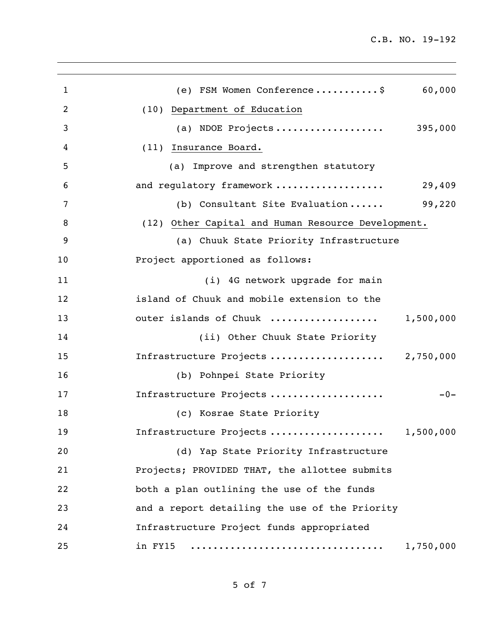| 1              | (e) FSM Women Conference\$<br>60,000               |
|----------------|----------------------------------------------------|
| $\overline{2}$ | (10) Department of Education                       |
| 3              | (a) NDOE Projects 395,000                          |
| 4              | (11) Insurance Board.                              |
| 5              | (a) Improve and strengthen statutory               |
| 6              | and regulatory framework<br>29,409                 |
| 7              | 99,220<br>(b) Consultant Site Evaluation           |
| 8              | (12) Other Capital and Human Resource Development. |
| 9              | (a) Chuuk State Priority Infrastructure            |
| 10             | Project apportioned as follows:                    |
| 11             | (i) 4G network upgrade for main                    |
| 12             | island of Chuuk and mobile extension to the        |
| 13             | outer islands of Chuuk<br>1,500,000                |
| 14             | (ii) Other Chuuk State Priority                    |
| 15             | Infrastructure Projects  2,750,000                 |
| 16             | (b) Pohnpei State Priority                         |
| 17             | Infrastructure Projects<br>$-0-$                   |
| 18             | (c) Kosrae State Priority                          |
| 19             | Infrastructure Projects<br>1,500,000               |
| 20             | (d) Yap State Priority Infrastructure              |
| 21             | Projects; PROVIDED THAT, the allottee submits      |
| 22             | both a plan outlining the use of the funds         |
| 23             | and a report detailing the use of the Priority     |
| 24             | Infrastructure Project funds appropriated          |
| 25             | in FY15<br>1,750,000                               |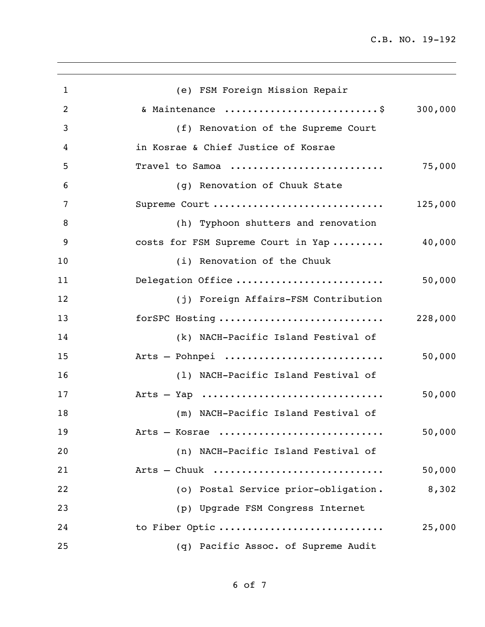| $\mathbf{1}$ | (e) FSM Foreign Mission Repair       |         |
|--------------|--------------------------------------|---------|
| 2            | & Maintenance \$ 300,000             |         |
| 3            | (f) Renovation of the Supreme Court  |         |
| 4            | in Kosrae & Chief Justice of Kosrae  |         |
| 5            | Travel to Samoa                      | 75,000  |
| 6            | (g) Renovation of Chuuk State        |         |
| 7            | Supreme Court                        | 125,000 |
| 8            | (h) Typhoon shutters and renovation  |         |
| 9            | costs for FSM Supreme Court in Yap   | 40,000  |
| 10           | (i) Renovation of the Chuuk          |         |
| 11           | Delegation Office                    | 50,000  |
| 12           | (j) Foreign Affairs-FSM Contribution |         |
| 13           | forSPC Hosting                       | 228,000 |
| 14           | (k) NACH-Pacific Island Festival of  |         |
| 15           | Arts - Pohnpei                       | 50,000  |
| 16           | (1) NACH-Pacific Island Festival of  |         |
| 17           |                                      | 50,000  |
| 18           | (m) NACH-Pacific Island Festival of  |         |
| 19           | Arts - Kosrae                        | 50,000  |
| 20           | (n) NACH-Pacific Island Festival of  |         |
| 21           | Arts $-$ Chuuk                       | 50,000  |
| 22           | (o) Postal Service prior-obligation. | 8,302   |
| 23           | (p) Upgrade FSM Congress Internet    |         |
| 24           | to Fiber Optic                       | 25,000  |
| 25           | (q) Pacific Assoc. of Supreme Audit  |         |